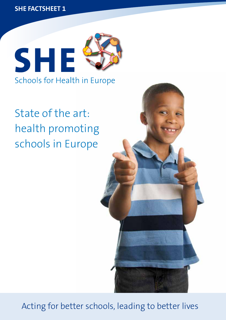**SHE Factsheet 1** 



Schools for Health in Europe

# State of the art: health promoting schools in Europe



Acting for better schools, leading to better lives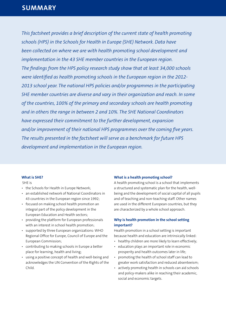*This factsheet provides a brief description of the current state of health promoting schools (HPS) in the Schools for Health in Europe (SHE) Network. Data have been collected on where we are with health promoting school development and implementation in the 43 SHE member countries in the European region. The findings from the HPS policy research study show that at least 34,000 schools were identified as health promoting schools in the European region in the 2012- 2013 school year. The national HPS policies and/or programmes in the participating SHE member countries are diverse and vary in their organization and reach. In some of the countries, 100% of the primary and secondary schools are health promoting and in others the range in between 2 and 10%. The SHE National Coordinators have expressed their commitment to the further development, expansion and/or improvement of their national HPS programmes over the coming five years. The results presented in the factsheet will serve as a benchmark for future HPS development and implementation in the European region.*

#### **What is SHE?**

#### SHE is

- the Schools for Health in Europe Network;
- an established network of National Coordinators in 43 countries in the European region since 1992;
- focused on making school health promotion an integral part of the policy development in the European Education and Health sectors;
- providing the platform for European professionals with an interest in school health promotion;
- supported by three European organizations: WHO Regional Office for Europe, Council of Europe and the European Commission;
- contributing to making schools in Europe a better place for learning, health and living;
- using a positive concept of health and well-being and acknowledges the UN Convention of the Rights of the Child.

#### **What is a health promoting school?**

A health promoting school is a school that implements a structured and systematic plan for the health, wellbeing and the development of social capital of all pupils and of teaching and non-teaching staff. Other names are used in the different European countries, but they are characterized by a whole school approach.

# **Why is health promotion in the school setting important?**

Health promotion in a school setting is important because health and education are intrinsically linked:

- healthy children are more likely to learn effectively;
- education plays an important role in economic prosperity and health outcomes later in life;
- promoting the health of school staff can lead to greater work satisfaction and reduced absenteeism;
- actively promoting health in schools can aid schools and policy-makers alike in reaching their academic, social and economic targets.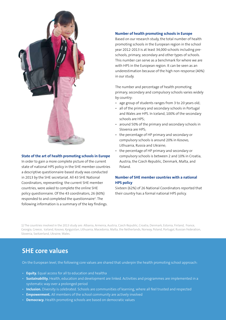

#### **State of the art of health promoting schools in Europe**

In order to gain a more complete picture of the current state of national HPS policy in the SHE member countries a descriptive questionnaire-based study was conducted in 2013 by the SHE secretariat. All 43 SHE National Coordinators, representing the current SHE member countries, were asked to complete the online SHE policy questionnaire. Of the 43 coordinators, 26 (60%) responded to and completed the questionnaire<sup>1</sup>. The following information is a summary of the key findings.

#### **Number of health promoting schools in Europe**

Based on our research study, the total number of health promoting schools in the European region in the school year 2012-2013 is at least 34,000 schools including preschools, primary, secondary and other types of schools. This number can serve as a benchmark for where we are with HPS in the European region. It can be seen as an underestimation because of the high non-response (40%) in our study.

The number and percentage of health promoting primary, secondary and compulsory schools varies widely by country:

- age group of students ranges from 3 to 20 years old;
- all of the primary and secondary schools in Portugal and Wales are HPS. In Iceland, 100% of the secondary schools are HPS;
- around 50% of the primary and secondary schools in Slovenia are HPS;
- the percentage of HP primary and secondary or compulsory schools is around 20% in Kosovo, Lithuania, Russia and Ukraine;
- the percentage of HP primary and secondary or compulsory schools is between 2 and 10% in Croatia, Austria, the Czech Republic, Denmark, Malta, and Poland.

# **Number of SHE member countries with a national HPS policy**

Sixteen (62%) of 26 National Coordinators reported that their country has a formal national HPS policy.

1) The countries involved in the 2013 study are: Albania, Armenia, Austria, Czech Republic, Croatia, Denmark, Estonia, Finland, France, Georgia, Greece, Iceland, Kosovo, Kyrgyzstan, Lithuania, Macedonia, Malta, the Netherlands, Norway, Poland, Portugal, Russian Federation, Slovenia, Switzerland, Ukraine, Wales.

# **SHE core values**

On the European level, the following core values are shared that underpin the health promoting school approach:

- **Equity.** Equal access for all to education and healtha
- **Sustainability.** Health, education and development are linked. Activities and programmes are implemented in a systematic way over a prolonged period
- **Inclusion.** Diversity is celebrated. Schools are communities of learning, where all feel trusted and respected
- **Empowerment.** All members of the school community are actively involved
- **Democracy.** Health promoting schools are based on democratic values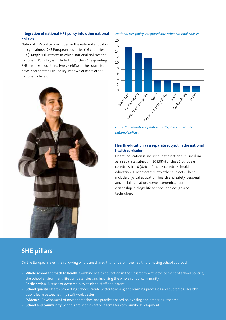## **Integration of national HPS policy into other national policies**

National HPS policy is included in the national education policy in almost 2/3 European countries (16 countries, 62%). **Graph 1** illustrates in which national policies the national HPS policy is included in for the 26 responding SHE member countries. Twelve (46%) of the countries have incorporated HPS policy into two or more other national policies.



*National HPS policy integrated into other national policies*



*Graph 1. Integration of national HPS policy into other national policies*

## **Health education as a separate subject in the national health curriculum**

Health education is included in the national curriculum as a separate subject in 10 (38%) of the 26 European countries. In 16 (62%) of the 26 countries, health education is incorporated into other subjects. These include physical education, health and safety, personal and social education, home economics, nutrition, citizenship, biology, life sciences and design and technology.

# **SHE pillars**

On the European level, the following pillars are shared that underpin the health promoting school approach:

- **Whole school approach to health.** Combine health education in the classroom with development of school policies, the school environment, life competencies and involving the whole school community
- **Participation.** A sense of ownership by student, staff and parent
- **School quality.** Health promoting schools create better teaching and learning processes and outcomes. Healthy pupils learn better, healthy staff work better
- **Evidence.** Development of new approaches and practices based on existing and emerging research
- **School and community.** Schools are seen as active agents for community development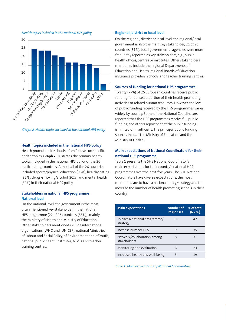

#### *Health topics included in the national HPS policy*



#### **Health topics included in the national HPS policy**

Health promotion in schools often focuses on specific health topics. **Graph 2** illustrates the primary health topics included in the national HPS policy of the 26 participating countries. Almost all of the 26 countries included sports/physical education (96%), healthy eating (92%), drugs/smoking/alcohol (92%) and mental health (80%) in their national HPS policy.

### **Stakeholders in national HPS programme National level**

On the national level, the government is the most often mentioned key stakeholder in the national HPS programme (22 of 26 countries (85%)), mainly the Ministry of Health and Ministry of Education. Other stakeholders mentioned include international organisations (WHO and UNICEF), national Ministries of Labour and Social Policy, of Environment and of Youth, national public health institutes, NGOs and teacher training centres.

#### **Regional, district or local level**

On the regional, district or local level, the regional/local government is also the main key stakeholder, 21 of 26 countries (81%). Local governmental agencies were more frequently reported as key stakeholders, e.g., public health offices, centres or institutes. Other stakeholders mentioned include the regional Departments of Education and Health, regional Boards of Education, insurance providers, schools and teacher training centres.

#### **Sources of funding for national HPS programmes**

Twenty (77%) of 26 European countries receive public funding for at least a portion of their health promoting activities or related human resources. However, the level of public funding received by the HPS programmes varies widely by country. Some of the National Coordinators reported that the HPS programmes receive full public funding and others reported that the public funding is limited or insufficient. The principal public funding sources include the Ministry of Education and the Ministry of Health.

## **Main expectations of National Coordinators for their national HPS programme**

Table 1 presents the SHE National Coordinator's main expectations for their country's national HPS programmes over the next five years. The SHE National Coordinators have diverse expectations, the most mentioned are to have a national policy/strategy and to increase the number of health promoting schools in their country.

| <b>Main expectations</b>                    | <b>Number of</b><br>responses | % of total<br>$(N=26)$ |
|---------------------------------------------|-------------------------------|------------------------|
| To have a national programme/<br>strategy   | 11                            | 42                     |
| Increase number HPS                         | q                             | 35                     |
| Network/collaboration among<br>stakeholders | Զ                             | 31                     |
| Monitoring and evaluation                   | 6                             | 23                     |
| Increased health and well-being             |                               | 19                     |

*Table 1. Main expectations of National Coordinators*